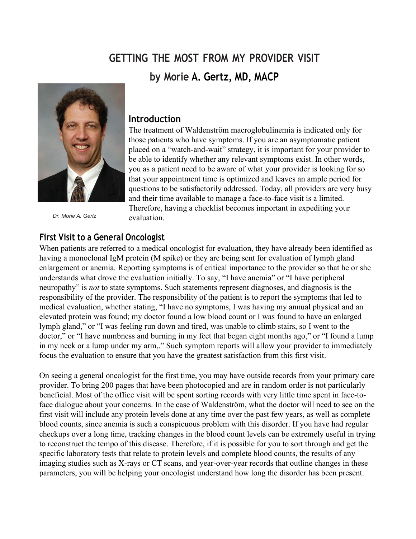# **GETTING THE MOST FROM MY PROVIDER VISIT by Morie A. Gertz, MD, MACP**



*Dr. Morie A. Gertz*

#### **Introduction**

The treatment of Waldenström macroglobulinemia is indicated only for those patients who have symptoms. If you are an asymptomatic patient placed on a "watch-and-wait" strategy, it is important for your provider to be able to identify whether any relevant symptoms exist. In other words, you as a patient need to be aware of what your provider is looking for so that your appointment time is optimized and leaves an ample period for questions to be satisfactorily addressed. Today, all providers are very busy and their time available to manage a face-to-face visit is a limited. Therefore, having a checklist becomes important in expediting your evaluation.

## **First Visit to a General Oncologist**

When patients are referred to a medical oncologist for evaluation, they have already been identified as having a monoclonal IgM protein (M spike) or they are being sent for evaluation of lymph gland enlargement or anemia. Reporting symptoms is of critical importance to the provider so that he or she understands what drove the evaluation initially. To say, "I have anemia" or "I have peripheral neuropathy" is *not* to state symptoms. Such statements represent diagnoses, and diagnosis is the responsibility of the provider. The responsibility of the patient is to report the symptoms that led to medical evaluation, whether stating, "I have no symptoms, I was having my annual physical and an elevated protein was found; my doctor found a low blood count or I was found to have an enlarged lymph gland," or "I was feeling run down and tired, was unable to climb stairs, so I went to the doctor," or "I have numbness and burning in my feet that began eight months ago," or "I found a lump in my neck or a lump under my arm,." Such symptom reports will allow your provider to immediately focus the evaluation to ensure that you have the greatest satisfaction from this first visit.

On seeing a general oncologist for the first time, you may have outside records from your primary care provider. To bring 200 pages that have been photocopied and are in random order is not particularly beneficial. Most of the office visit will be spent sorting records with very little time spent in face-toface dialogue about your concerns. In the case of Waldenström, what the doctor will need to see on the first visit will include any protein levels done at any time over the past few years, as well as complete blood counts, since anemia is such a conspicuous problem with this disorder. If you have had regular checkups over a long time, tracking changes in the blood count levels can be extremely useful in trying to reconstruct the tempo of this disease. Therefore, if it is possible for you to sort through and get the specific laboratory tests that relate to protein levels and complete blood counts, the results of any imaging studies such as X-rays or CT scans, and year-over-year records that outline changes in these parameters, you will be helping your oncologist understand how long the disorder has been present.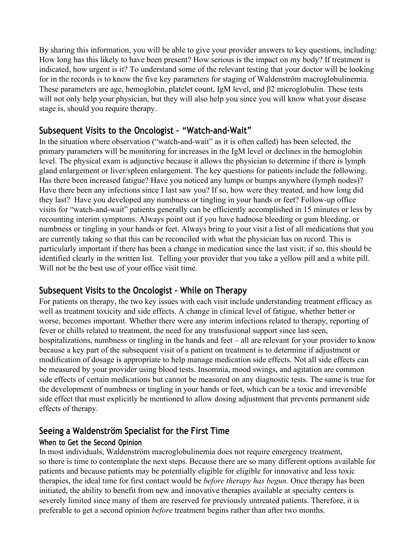By sharing this information, you will be able to give your provider answers to key questions, including: How long has this likely to have been present? How serious is the impact on my body? If treatment is indicated, how urgent is it? To understand some of the relevant testing that your doctor will be looking for in the records is to know the five key parameters for staging of Waldenström macroglobulinemia. These parameters are age, hemoglobin, platelet count, IgM level, and β2 microglobulin. These tests will not only help your physician, but they will also help you since you will know what your disease stage is, should you require therapy.

# **Subsequent Visits to the Oncologist – "Watch-and-Wait"**

In the situation where observation ("watch-and-wait" as it is often called) has been selected, the primary parameters will be monitoring for increases in the IgM level or declines in the hemoglobin level. The physical exam is adjunctive because it allows the physician to determine if there is lymph gland enlargement or liver/spleen enlargement. The key questions for patients include the following. Has there been increased fatigue? Have you noticed any lumps or bumps anywhere (lymph nodes)? Have there been any infections since I last saw you? If so, how were they treated, and how long did they last? Have you developed any numbness or tingling in your hands or feet? Follow-up office visits for "watch-and-wait" patients generally can be efficiently accomplished in 15 minutes or less by recounting interim symptoms. Always point out if you have hadnose bleeding or gum bleeding, or numbness or tingling in your hands or feet. Always bring to your visit a list of all medications that you are currently taking so that this can be reconciled with what the physician has on record. This is particularly important if there has been a change in medication since the last visit; if so, this should be identified clearly in the written list. Telling your provider that you take a yellow pill and a white pill. Will not be the best use of your office visit time.

# **Subsequent Visits to the Oncologist – While on Therapy**

For patients on therapy, the two key issues with each visit include understanding treatment efficacy as well as treatment toxicity and side effects. A change in clinical level of fatigue, whether better or worse, becomes important. Whether there were any interim infections related to therapy, reporting of fever or chills related to treatment, the need for any transfusional support since last seen, hospitalizations, numbness or tingling in the hands and feet – all are relevant for your provider to know because a key part of the subsequent visit of a patient on treatment is to determine if adjustment or modification of dosage is appropriate to help manage medication side effects. Not all side effects can be measured by your provider using blood tests. Insomnia, mood swings, and agitation are common side effects of certain medications but cannot be measured on any diagnostic tests. The same is true for the development of numbness or tingling in your hands or feet, which can be a toxic and irreversible side effect that must explicitly be mentioned to allow dosing adjustment that prevents permanent side effects of therapy.

# **Seeing a Waldenström Specialist for the First Time**

## **When to Get the Second Opinion**

In most individuals, Waldenström macroglobulinemia does not require emergency treatment, so there is time to contemplate the next steps. Because there are so many different options available for patients and because patients may be potentially eligible for [eligible for](http://stage-iwmf.newtarget.net/sites/default/files/docs/Torch%20April%202013.pdf) innovative and less toxic therapies, the ideal time for first contact would be *before therapy has begun.* Once therapy has been initiated, the ability to benefit from new and innovative therapies available at specialty centers is severely limited since many of them are reserved for previously untreated patients. Therefore, it is preferable to get a second opinion *before* treatment begins rather than after two months.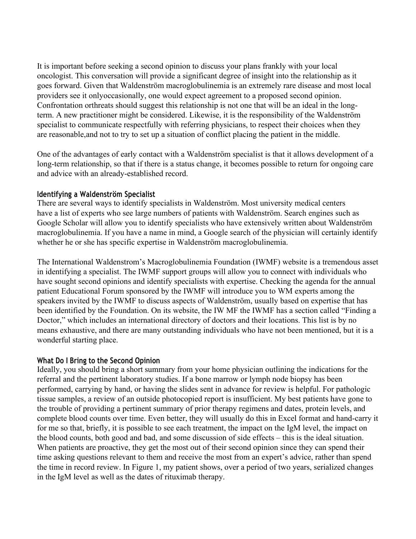It is important before seeking a second opinion to discuss your plans frankly with your local oncologist. This conversation will provide a significant degree of insight into the relationship as it goes forward. Given that Waldenström macroglobulinemia is an extremely rare disease and most local providers see it onlyoccasionally, one would expect agreement to a proposed second opinion. Confrontation orthreats should suggest this relationship is not one that will be an ideal in the longterm. A new practitioner might be considered. Likewise, it is the responsibility of the Waldenström specialist to communicate respectfully with referring physicians, to respect their choices when they are reasonable,and not to try to set up a situation of conflict placing the patient in the middle.

One of the advantages of early contact with a Waldenström specialist is that it allows development of a long-term relationship, so that if there is a status change, it becomes possible to return for ongoing care and advice with an already-established record.

#### **Identifying a Waldenström Specialist**

There are several ways to identify specialists in Waldenström. Most university medical centers have a list of experts who see large numbers of patients with Waldenström. Search engines such as Google Scholar will allow you to identify specialists who have extensively written about Waldenström macroglobulinemia. If you have a name in mind, a Google search of the physician will certainly identify whether he or she has specific expertise in Waldenström macroglobulinemia.

The International Waldenstrom's Macroglobulinemia Foundation (IWMF) website is a tremendous asset in identifying a specialist. The IWMF support groups will allow you to connect with individuals who have sought second opinions and identify specialists with expertise. Checking the agenda for the annual patient Educational Forum sponsored by the IWMF will introduce you to WM experts among the speakers invited by the IWMF to discuss aspects of Waldenström, usually based on expertise that has been identified by the Foundation. On its website, the IW MF [the IWMF](http://stage-iwmf.newtarget.net/sites/default/files/docs/Torch%20Anniversary%20October%202013.pdf) has a section called "Finding a Doctor," which includes an international directory of doctors and their locations. This list is by no means exhaustive, and there are many outstanding individuals who have not been mentioned, but it is a wonderful starting place.

#### **What Do I Bring to the Second Opinion**

Ideally, you should bring a short summary from your home physician outlining the indications for the referral and the pertinent laboratory studies. If a bone marrow or lymph node biopsy has been performed, carrying by hand, or having the slides sent in advance for review is helpful. For pathologic tissue samples, a review of an outside photocopied report is insufficient. My best patients have gone to the trouble of providing a pertinent summary of prior therapy regimens and dates, protein levels, and complete blood counts over time. Even better, they will usually do this in Excel format and hand-carry it for me so that, briefly, it is possible to see each treatment, the impact on the IgM level, the impact on the blood counts, both good and bad, and some discussion of side effects – this is the ideal situation. When patients are proactive, they get the most out of their second opinion since they can spend their time asking questions relevant to them and receive the most from an expert's advice, rather than spend the time in record review. In Figure 1, my patient shows, over a period of two years, serialized changes in the IgM level as well as the dates of rituximab therapy.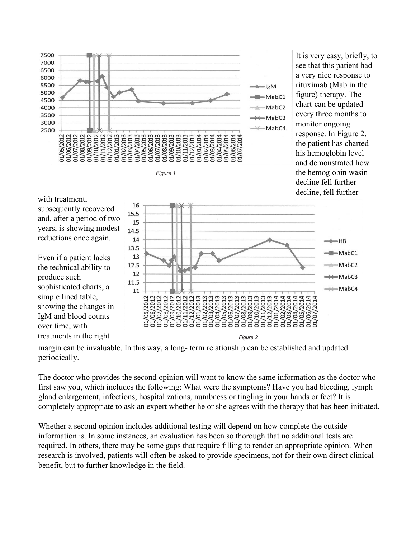



It is very easy, briefly, to see that this patient had a very nice response to rituximab (Mab in the figure) therapy. The chart can be updated every three months to monitor ongoing response. In Figure 2, the patient has charted his hemoglobin level and demonstrated how the hemoglobin wasin decline fell further decline, fell further

with treatment, subsequently recovered and, after a period of two years, is showing modest reductions once again.

Even if a patient lacks the technical ability to produce such sophisticated charts, a simple lined table, showing the changes in IgM and blood counts over time, with



margin can be invaluable. In this way, a long- term relationship can be established and updated periodically.

The doctor who provides the second opinion will want to know the same information as the doctor who first saw you, which includes the following: What were the symptoms? Have you had bleeding, lymph gland enlargement, infections, hospitalizations, numbness or tingling in your hands or feet? It is completely appropriate to ask an expert whether he or she agrees with the therapy that has been initiated.

Whether a second opinion includes additional testing will depend on how complete the outside information is. In some instances, an evaluation has been so thorough that no additional tests are required. In others, there may be some gaps that require filling to render an appropriate opinion. When research is involved, patients will often be asked to provide specimens, not for their own direct clinical benefit, but to further knowledge in the field.